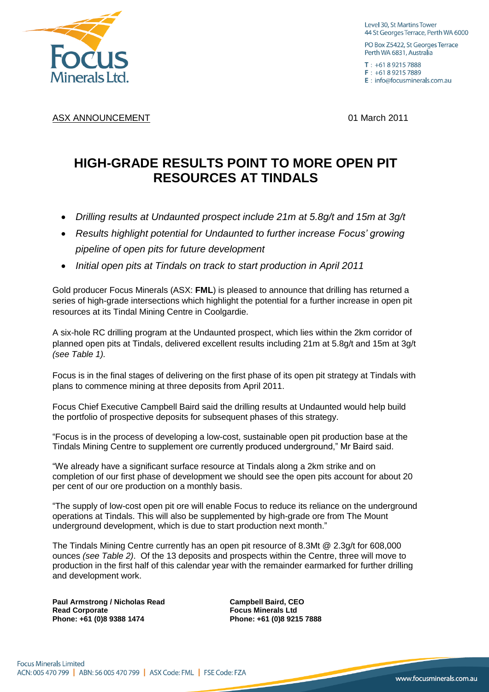

Level 30, St Martins Tower 44 St Georges Terrace, Perth WA 6000

PO Box Z5422, St Georges Terrace Perth WA 6831, Australia

 $T: +61892157888$  $F: +61892157889$ E : info@focusminerals.com.au

ASX ANNOUNCEMENT **ASX ANNOUNCEMENT 1** March 2011

## **HIGH-GRADE RESULTS POINT TO MORE OPEN PIT RESOURCES AT TINDALS**

- *Drilling results at Undaunted prospect include 21m at 5.8g/t and 15m at 3g/t*
- *Results highlight potential for Undaunted to further increase Focus' growing pipeline of open pits for future development*
- *Initial open pits at Tindals on track to start production in April 2011*

Gold producer Focus Minerals (ASX: **FML**) is pleased to announce that drilling has returned a series of high-grade intersections which highlight the potential for a further increase in open pit resources at its Tindal Mining Centre in Coolgardie.

A six-hole RC drilling program at the Undaunted prospect, which lies within the 2km corridor of planned open pits at Tindals, delivered excellent results including 21m at 5.8g/t and 15m at 3g/t *(see Table 1).*

Focus is in the final stages of delivering on the first phase of its open pit strategy at Tindals with plans to commence mining at three deposits from April 2011.

Focus Chief Executive Campbell Baird said the drilling results at Undaunted would help build the portfolio of prospective deposits for subsequent phases of this strategy.

"Focus is in the process of developing a low-cost, sustainable open pit production base at the Tindals Mining Centre to supplement ore currently produced underground," Mr Baird said.

"We already have a significant surface resource at Tindals along a 2km strike and on completion of our first phase of development we should see the open pits account for about 20 per cent of our ore production on a monthly basis.

"The supply of low-cost open pit ore will enable Focus to reduce its reliance on the underground operations at Tindals. This will also be supplemented by high-grade ore from The Mount underground development, which is due to start production next month."

The Tindals Mining Centre currently has an open pit resource of 8.3Mt @ 2.3g/t for 608,000 ounces *(see Table 2)*. Of the 13 deposits and prospects within the Centre, three will move to production in the first half of this calendar year with the remainder earmarked for further drilling and development work.

**Paul Armstrong / Nicholas Read Campbell Baird, CEO Read Corporate Focus Minerals Ltd Phone: +61 (0)8 9388 1474 Phone: +61 (0)8 9215 7888**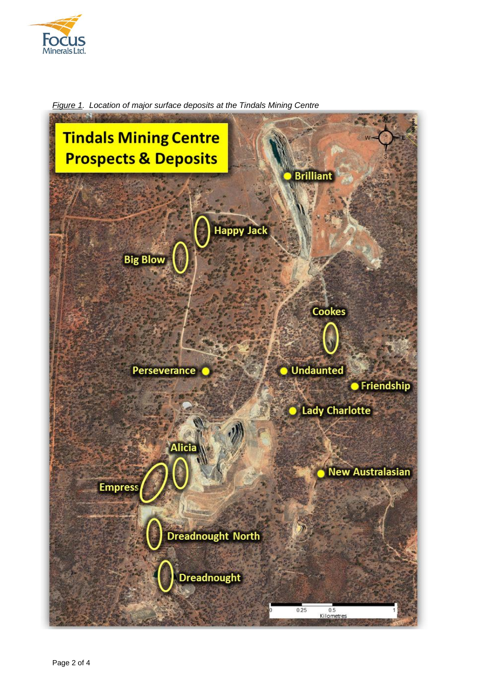



*Figure 1. Location of major surface deposits at the Tindals Mining Centre*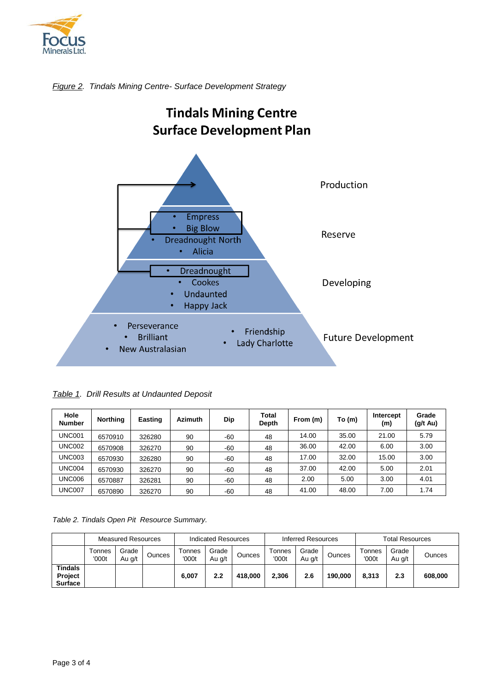





*Table 1. Drill Results at Undaunted Deposit*

| Hole<br><b>Number</b> | <b>Northing</b> | Easting | <b>Azimuth</b> | Dip   | Total<br>Depth | From (m) | To (m) | Intercept<br>(m) | Grade<br>$(g/t \text{ Au})$ |
|-----------------------|-----------------|---------|----------------|-------|----------------|----------|--------|------------------|-----------------------------|
| <b>UNC001</b>         | 6570910         | 326280  | 90             | $-60$ | 48             | 14.00    | 35.00  | 21.00            | 5.79                        |
| <b>UNC002</b>         | 6570908         | 326270  | 90             | $-60$ | 48             | 36.00    | 42.00  | 6.00             | 3.00                        |
| <b>UNC003</b>         | 6570930         | 326280  | 90             | $-60$ | 48             | 17.00    | 32.00  | 15.00            | 3.00                        |
| <b>UNC004</b>         | 6570930         | 326270  | 90             | $-60$ | 48             | 37.00    | 42.00  | 5.00             | 2.01                        |
| <b>UNC006</b>         | 6570887         | 326281  | 90             | $-60$ | 48             | 2.00     | 5.00   | 3.00             | 4.01                        |
| <b>UNC007</b>         | 6570890         | 326270  | 90             | $-60$ | 48             | 41.00    | 48.00  | 7.00             | 1.74                        |

*Table 2. Tindals Open Pit Resource Summary.*

|                                             | <b>Measured Resources</b> |                 | Indicated Resources |                        |                 | Inferred Resources |                 |                 | <b>Total Resources</b> |                 |                 |         |
|---------------------------------------------|---------------------------|-----------------|---------------------|------------------------|-----------------|--------------------|-----------------|-----------------|------------------------|-----------------|-----------------|---------|
|                                             | Tonnes<br>'000t           | Grade<br>Au g/t | Ounces              | <b>Connes</b><br>'000t | Grade<br>Au g/t | Ounces             | Tonnes<br>'000t | Grade<br>Au g/t | Ounces                 | Tonnes<br>'000t | Grade<br>Au g/t | Ounces  |
| <b>Tindals</b><br>Project<br><b>Surface</b> |                           |                 |                     | 6,007                  | 2.2             | 418,000            | 2,306           | 2.6             | 190.000                | 8.313           | 2.3             | 608,000 |